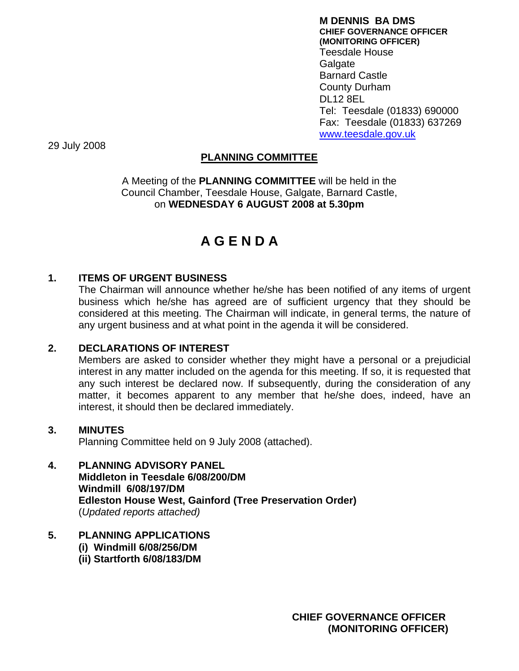**M DENNIS BA DMS CHIEF GOVERNANCE OFFICER (MONITORING OFFICER)**  Teesdale House Galgate Barnard Castle County Durham DL12 8EL Tel: Teesdale (01833) 690000 Fax: Teesdale (01833) 637269 [www.teesdale.gov.uk](http://www.teesdale.gov.uk/)

29 July 2008

# **PLANNING COMMITTEE**

A Meeting of the **PLANNING COMMITTEE** will be held in the Council Chamber, Teesdale House, Galgate, Barnard Castle, on **WEDNESDAY 6 AUGUST 2008 at 5.30pm** 

# **A G E N D A**

# **1. ITEMS OF URGENT BUSINESS**

The Chairman will announce whether he/she has been notified of any items of urgent business which he/she has agreed are of sufficient urgency that they should be considered at this meeting. The Chairman will indicate, in general terms, the nature of any urgent business and at what point in the agenda it will be considered.

## **2. DECLARATIONS OF INTEREST**

Members are asked to consider whether they might have a personal or a prejudicial interest in any matter included on the agenda for this meeting. If so, it is requested that any such interest be declared now. If subsequently, during the consideration of any matter, it becomes apparent to any member that he/she does, indeed, have an interest, it should then be declared immediately.

#### **3. MINUTES**

Planning Committee held on 9 July 2008 (attached).

# **4. PLANNING ADVISORY PANEL**

 **Middleton in Teesdale 6/08/200/DM Windmill 6/08/197/DM Edleston House West, Gainford (Tree Preservation Order)**  (*Updated reports attached)* 

## **5. PLANNING APPLICATIONS**

**(i) Windmill 6/08/256/DM** 

 **(ii) Startforth 6/08/183/DM**

**CHIEF GOVERNANCE OFFICER (MONITORING OFFICER)**